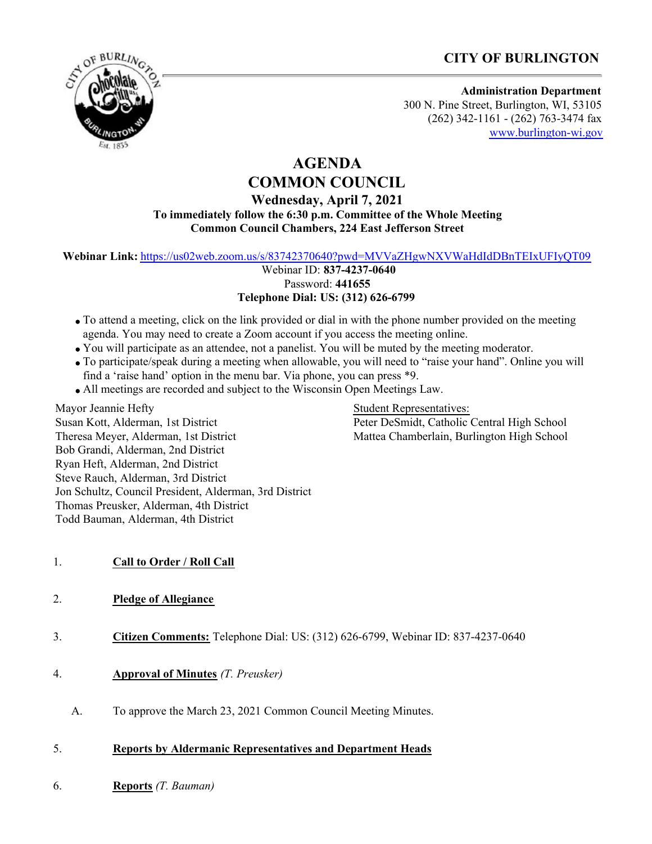# **CITY OF BURLINGTON**



#### **Administration Department** 300 N. Pine Street, Burlington, WI, 53105 (262) 342-1161 - (262) 763-3474 fax [www.burlington-wi.gov](http://www.burlington-wi.gov)

### **AGENDA COMMON COUNCIL**

### **Wednesday, April 7, 2021 To immediately follow the 6:30 p.m. Committee of the Whole Meeting Common Council Chambers, 224 East Jefferson Street**

**Webinar Link:** <https://us02web.zoom.us/s/83742370640?pwd=MVVaZHgwNXVWaHdIdDBnTEIxUFIyQT09>

 Webinar ID: **837-4237-0640** Password: **441655 Telephone Dial: US: (312) 626-6799**

- To attend a meeting, click on the link provided or dial in with the phone number provided on the meeting agenda. You may need to create a Zoom account if you access the meeting online.
- You will participate as an attendee, not a panelist. You will be muted by the meeting moderator.
- To participate/speak during a meeting when allowable, you will need to "raise your hand". Online you will find a 'raise hand' option in the menu bar. Via phone, you can press \*9.
- All meetings are recorded and subject to the Wisconsin Open Meetings Law.

Mayor Jeannie Hefty Susan Kott, Alderman, 1st District Theresa Meyer, Alderman, 1st District Bob Grandi, Alderman, 2nd District Ryan Heft, Alderman, 2nd District Steve Rauch, Alderman, 3rd District Jon Schultz, Council President, Alderman, 3rd District Thomas Preusker, Alderman, 4th District Todd Bauman, Alderman, 4th District

Student Representatives: Peter DeSmidt, Catholic Central High School Mattea Chamberlain, Burlington High School

- 1. **Call to Order / Roll Call**
- 2. **Pledge of Allegiance**
- 3. **Citizen Comments:** Telephone Dial: US: (312) 626-6799, Webinar ID: 837-4237-0640
- 4. **Approval of Minutes** *(T. Preusker)*
	- A. To approve the March 23, 2021 Common Council Meeting Minutes.
- 5. **Reports by Aldermanic Representatives and Department Heads**
- 6. **Reports** *(T. Bauman)*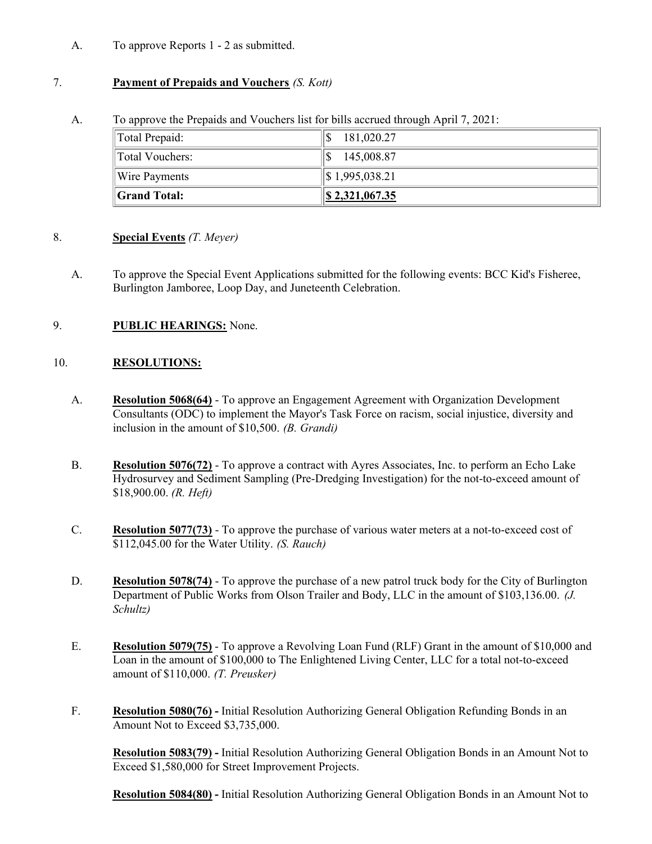A. To approve Reports 1 - 2 as submitted.

## 7. **Payment of Prepaids and Vouchers** *(S. Kott)*

A. To approve the Prepaids and Vouchers list for bills accrued through April 7, 2021:

| Total Prepaid:       | 181,020.27                 |
|----------------------|----------------------------|
| Total Vouchers:      | 145,008.87                 |
| Wire Payments        | $\parallel$ \$1,995,038.21 |
| <b>Scrand Total:</b> | $\$\,2,321,067.35$         |

### 8. **Special Events** *(T. Meyer)*

A. To approve the Special Event Applications submitted for the following events: BCC Kid's Fisheree, Burlington Jamboree, Loop Day, and Juneteenth Celebration.

# 9. **PUBLIC HEARINGS:** None.

## 10. **RESOLUTIONS:**

- A. **Resolution 5068(64)** To approve an Engagement Agreement with Organization Development Consultants (ODC) to implement the Mayor's Task Force on racism, social injustice, diversity and inclusion in the amount of \$10,500. *(B. Grandi)*
- B. **Resolution 5076(72)** To approve a contract with Ayres Associates, Inc. to perform an Echo Lake Hydrosurvey and Sediment Sampling (Pre-Dredging Investigation) for the not-to-exceed amount of \$18,900.00. *(R. Heft)*
- C. **Resolution 5077(73)** To approve the purchase of various water meters at a not-to-exceed cost of \$112,045.00 for the Water Utility. *(S. Rauch)*
- D. **Resolution 5078(74)** To approve the purchase of a new patrol truck body for the City of Burlington Department of Public Works from Olson Trailer and Body, LLC in the amount of \$103,136.00. *(J. Schultz)*
- E. **Resolution 5079(75)** To approve a Revolving Loan Fund (RLF) Grant in the amount of \$10,000 and Loan in the amount of \$100,000 to The Enlightened Living Center, LLC for a total not-to-exceed amount of \$110,000. *(T. Preusker)*
- F. **Resolution 5080(76)** Initial Resolution Authorizing General Obligation Refunding Bonds in an Amount Not to Exceed \$3,735,000.

**Resolution 5083(79) -** Initial Resolution Authorizing General Obligation Bonds in an Amount Not to Exceed \$1,580,000 for Street Improvement Projects.

**Resolution 5084(80) -** Initial Resolution Authorizing General Obligation Bonds in an Amount Not to